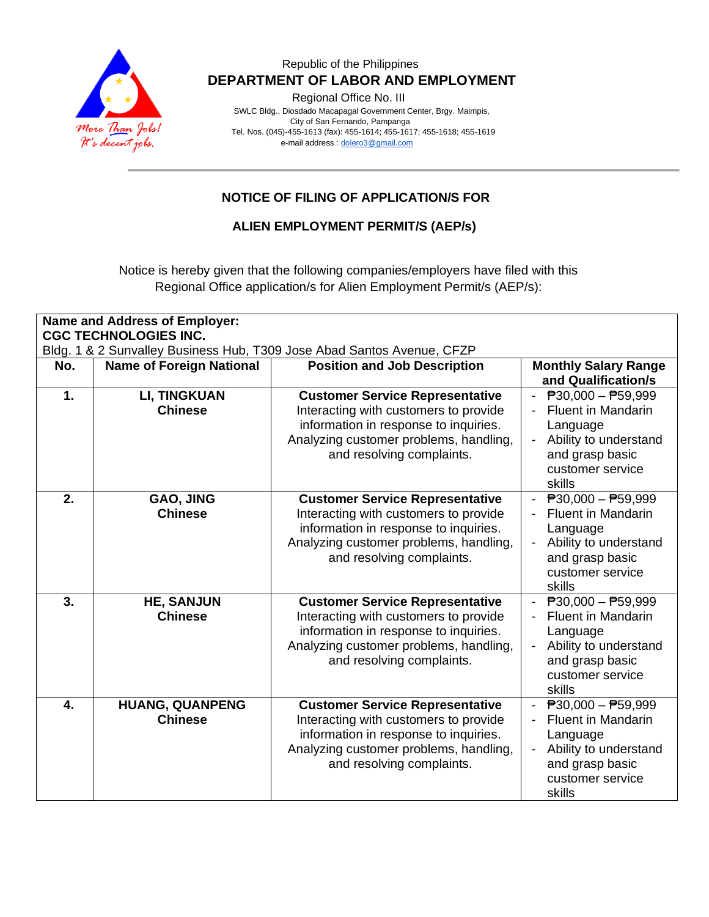

Regional Office No. III

 SWLC Bldg., Diosdado Macapagal Government Center, Brgy. Maimpis, City of San Fernando, Pampanga Tel. Nos. (045)-455-1613 (fax): 455-1614; 455-1617; 455-1618; 455-1619 e-mail address [: dolero3@gmail.com](mailto:dolero3@gmail.com)

## **NOTICE OF FILING OF APPLICATION/S FOR**

#### **ALIEN EMPLOYMENT PERMIT/S (AEP/s)**

Notice is hereby given that the following companies/employers have filed with this Regional Office application/s for Alien Employment Permit/s (AEP/s):

| <b>Name and Address of Employer:</b><br><b>CGC TECHNOLOGIES INC.</b><br>Bldg. 1 & 2 Sunvalley Business Hub, T309 Jose Abad Santos Avenue, CFZP |                                          |                                                                                                                                                                                                 |                                                                                                                                                                                                    |
|------------------------------------------------------------------------------------------------------------------------------------------------|------------------------------------------|-------------------------------------------------------------------------------------------------------------------------------------------------------------------------------------------------|----------------------------------------------------------------------------------------------------------------------------------------------------------------------------------------------------|
| No.                                                                                                                                            | <b>Name of Foreign National</b>          | <b>Position and Job Description</b>                                                                                                                                                             | <b>Monthly Salary Range</b><br>and Qualification/s                                                                                                                                                 |
| 1.                                                                                                                                             | <b>LI, TINGKUAN</b><br><b>Chinese</b>    | <b>Customer Service Representative</b><br>Interacting with customers to provide<br>information in response to inquiries.<br>Analyzing customer problems, handling,<br>and resolving complaints. | $ \overline{P}30,000 - \overline{P}59,999$<br><b>Fluent in Mandarin</b><br>Language<br>Ability to understand<br>$\blacksquare$<br>and grasp basic<br>customer service<br>skills                    |
| 2.                                                                                                                                             | GAO, JING<br><b>Chinese</b>              | <b>Customer Service Representative</b><br>Interacting with customers to provide<br>information in response to inquiries.<br>Analyzing customer problems, handling,<br>and resolving complaints. | $\overline{P}30,000 - \overline{P}59,999$<br>$\sim$<br><b>Fluent in Mandarin</b><br>Language<br>Ability to understand<br>$\overline{\phantom{a}}$<br>and grasp basic<br>customer service<br>skills |
| 3.                                                                                                                                             | <b>HE, SANJUN</b><br><b>Chinese</b>      | <b>Customer Service Representative</b><br>Interacting with customers to provide<br>information in response to inquiries.<br>Analyzing customer problems, handling,<br>and resolving complaints. | $\overline{P}30,000 - \overline{P}59,999$<br><b>Fluent in Mandarin</b><br>Language<br>Ability to understand<br>and grasp basic<br>customer service<br>skills                                       |
| 4.                                                                                                                                             | <b>HUANG, QUANPENG</b><br><b>Chinese</b> | <b>Customer Service Representative</b><br>Interacting with customers to provide<br>information in response to inquiries.<br>Analyzing customer problems, handling,<br>and resolving complaints. | $\overline{P}30,000 - \overline{P}59,999$<br><b>Fluent in Mandarin</b><br>Language<br>Ability to understand<br>and grasp basic<br>customer service<br>skills                                       |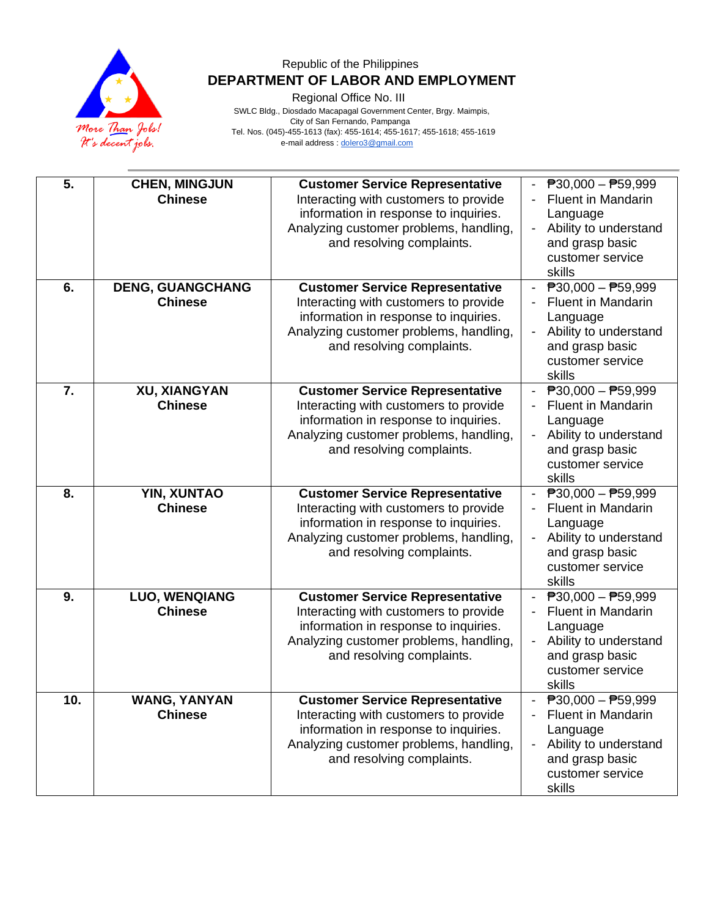

Regional Office No. III

 SWLC Bldg., Diosdado Macapagal Government Center, Brgy. Maimpis, City of San Fernando, Pampanga Tel. Nos. (045)-455-1613 (fax): 455-1614; 455-1617; 455-1618; 455-1619 e-mail address [: dolero3@gmail.com](mailto:dolero3@gmail.com)

| 5.  | <b>CHEN, MINGJUN</b><br><b>Chinese</b>    | <b>Customer Service Representative</b><br>Interacting with customers to provide<br>information in response to inquiries.<br>Analyzing customer problems, handling,<br>and resolving complaints. | $P30,000 - P59,999$<br><b>Fluent in Mandarin</b><br>Language<br>Ability to understand<br>$\blacksquare$<br>and grasp basic<br>customer service<br>skills     |
|-----|-------------------------------------------|-------------------------------------------------------------------------------------------------------------------------------------------------------------------------------------------------|--------------------------------------------------------------------------------------------------------------------------------------------------------------|
| 6.  | <b>DENG, GUANGCHANG</b><br><b>Chinese</b> | <b>Customer Service Representative</b><br>Interacting with customers to provide<br>information in response to inquiries.<br>Analyzing customer problems, handling,<br>and resolving complaints. | - $P30,000 - P59,999$<br><b>Fluent in Mandarin</b><br>Language<br>Ability to understand<br>and grasp basic<br>customer service<br>skills                     |
| 7.  | <b>XU, XIANGYAN</b><br><b>Chinese</b>     | <b>Customer Service Representative</b><br>Interacting with customers to provide<br>information in response to inquiries.<br>Analyzing customer problems, handling,<br>and resolving complaints. | $\overline{P}30,000 - \overline{P}59,999$<br>Fluent in Mandarin<br>Language<br>Ability to understand<br>and grasp basic<br>customer service<br>skills        |
| 8.  | YIN, XUNTAO<br><b>Chinese</b>             | <b>Customer Service Representative</b><br>Interacting with customers to provide<br>information in response to inquiries.<br>Analyzing customer problems, handling,<br>and resolving complaints. | $\overline{P}30,000 - \overline{P}59,999$<br><b>Fluent in Mandarin</b><br>Language<br>Ability to understand<br>and grasp basic<br>customer service<br>skills |
| 9.  | <b>LUO, WENQIANG</b><br><b>Chinese</b>    | <b>Customer Service Representative</b><br>Interacting with customers to provide<br>information in response to inquiries.<br>Analyzing customer problems, handling,<br>and resolving complaints. | $\overline{P}30,000 - \overline{P}59,999$<br><b>Fluent in Mandarin</b><br>Language<br>Ability to understand<br>and grasp basic<br>customer service<br>skills |
| 10. | WANG, YANYAN<br><b>Chinese</b>            | <b>Customer Service Representative</b><br>Interacting with customers to provide<br>information in response to inquiries.<br>Analyzing customer problems, handling,<br>and resolving complaints. | $P30,000 - P59,999$<br>Fluent in Mandarin<br>Language<br>Ability to understand<br>$\blacksquare$<br>and grasp basic<br>customer service<br>skills            |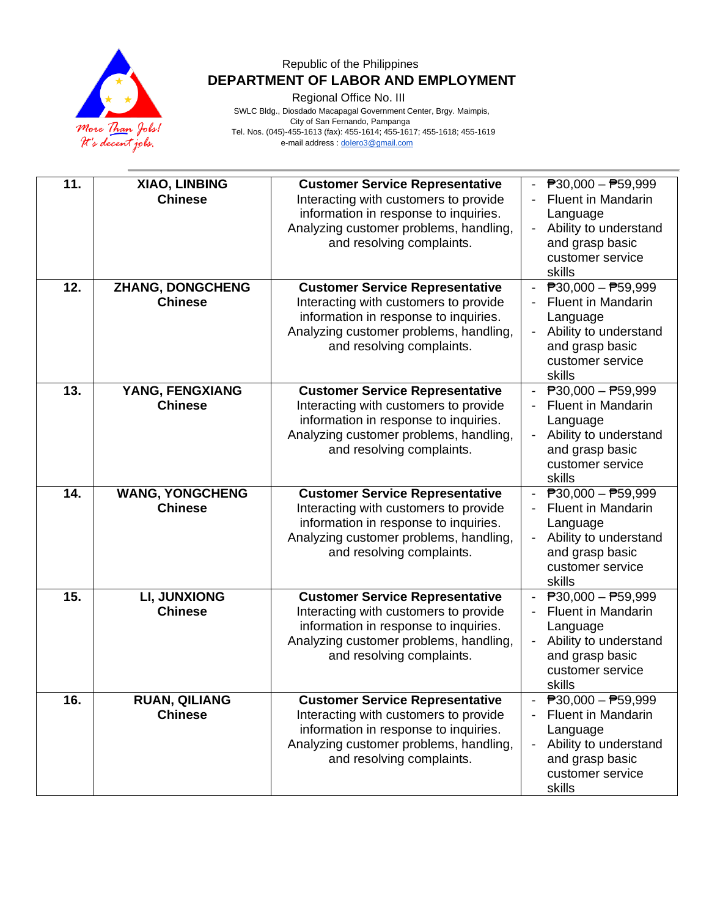

Regional Office No. III

 SWLC Bldg., Diosdado Macapagal Government Center, Brgy. Maimpis, City of San Fernando, Pampanga Tel. Nos. (045)-455-1613 (fax): 455-1614; 455-1617; 455-1618; 455-1619 e-mail address [: dolero3@gmail.com](mailto:dolero3@gmail.com)

| 11.<br>12. | XIAO, LINBING<br><b>Chinese</b><br><b>ZHANG, DONGCHENG</b><br><b>Chinese</b>  | <b>Customer Service Representative</b><br>Interacting with customers to provide<br>information in response to inquiries.<br>Analyzing customer problems, handling,<br>and resolving complaints.<br><b>Customer Service Representative</b><br>Interacting with customers to provide<br>information in response to inquiries.<br>Analyzing customer problems, handling,<br>and resolving complaints. | $\overline{P}30,000 - \overline{P}59,999$<br><b>Fluent in Mandarin</b><br>Language<br>Ability to understand<br>$\blacksquare$<br>and grasp basic<br>customer service<br>skills<br>$\overline{P}30,000 - \overline{P}59,999$<br><b>Fluent in Mandarin</b><br>Language<br>Ability to understand<br>$\overline{\phantom{0}}$<br>and grasp basic<br>customer service<br>skills |
|------------|-------------------------------------------------------------------------------|----------------------------------------------------------------------------------------------------------------------------------------------------------------------------------------------------------------------------------------------------------------------------------------------------------------------------------------------------------------------------------------------------|----------------------------------------------------------------------------------------------------------------------------------------------------------------------------------------------------------------------------------------------------------------------------------------------------------------------------------------------------------------------------|
| 13.<br>14. | YANG, FENGXIANG<br><b>Chinese</b><br><b>WANG, YONGCHENG</b><br><b>Chinese</b> | <b>Customer Service Representative</b><br>Interacting with customers to provide<br>information in response to inquiries.<br>Analyzing customer problems, handling,<br>and resolving complaints.<br><b>Customer Service Representative</b><br>Interacting with customers to provide<br>information in response to inquiries.<br>Analyzing customer problems, handling,<br>and resolving complaints. | - $P30,000 - P59,999$<br><b>Fluent in Mandarin</b><br>Language<br>Ability to understand<br>$\overline{\phantom{a}}$<br>and grasp basic<br>customer service<br>skills<br>$ \overline{P}30,000 - \overline{P}59,999$<br><b>Fluent in Mandarin</b><br>Language<br>Ability to understand<br>and grasp basic                                                                    |
| 15.        | <b>LI, JUNXIONG</b><br><b>Chinese</b>                                         | <b>Customer Service Representative</b><br>Interacting with customers to provide<br>information in response to inquiries.<br>Analyzing customer problems, handling,<br>and resolving complaints.                                                                                                                                                                                                    | customer service<br>skills<br>$\overline{P}30,000 - \overline{P}59,999$<br><b>Fluent in Mandarin</b><br>Language<br>Ability to understand<br>and grasp basic<br>customer service                                                                                                                                                                                           |
| 16.        | <b>RUAN, QILIANG</b><br><b>Chinese</b>                                        | <b>Customer Service Representative</b><br>Interacting with customers to provide<br>information in response to inquiries.<br>Analyzing customer problems, handling,<br>and resolving complaints.                                                                                                                                                                                                    | skills<br>$\overline{P}30,000 - \overline{P}59,999$<br><b>Fluent in Mandarin</b><br>Language<br>Ability to understand<br>and grasp basic<br>customer service<br>skills                                                                                                                                                                                                     |